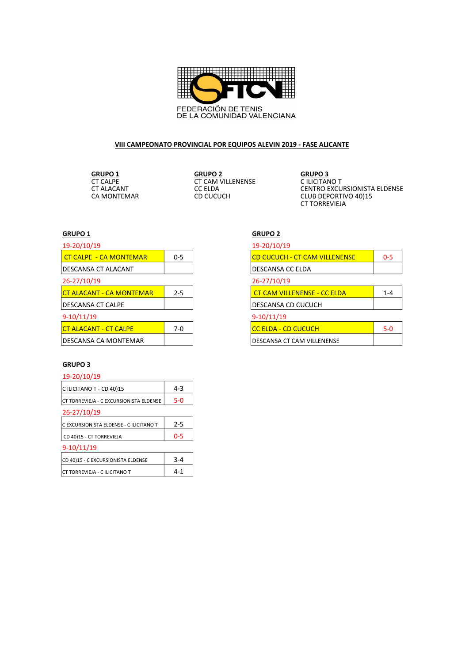

## VIII CAMPEONATO PROVINCIAL POR EQUIPOS ALEVIN 2019 - FASE ALICANTE

GRUPO 1 GRUPO 2 GRUPO 3 CONSTRUCT CAM VILLENENSE<br>CC ELDA

COM CONTROL CONTROL CONTROL CONTROL CONTROL CONTROL CONTROL CONTROL CONTROL CONTROL CONTROL CONTROL CONTROL CONTROL CONTROL CONTROL CONTROL CONTROL CONTROL CONTROL CONTROL CONTROL CONTROL CONTROL CONTROL CONTROL CONTROL CO CLUB DEPORTIVO 40)15 CT TORREVIEJA

### GRUPO 1 GRUPO 2

| 19-20/10/19                     |         |
|---------------------------------|---------|
| <b>CT CALPE - CA MONTEMAR</b>   | $0 - 5$ |
| DESCANSA CT ALACANT             |         |
| 26-27/10/19                     |         |
| <b>CT ALACANT - CA MONTEMAR</b> | $2 - 5$ |
| IDESCANSA CT CALPE              |         |
| $9-10/11/19$                    |         |
| <b>CT ALACANT - CT CALPE</b>    | $7-0$   |
| IDESCANSA CA MONTEMAR           |         |

|              | 19-20/10/19 |                                      |         |  |
|--------------|-------------|--------------------------------------|---------|--|
| 0-5          |             | <b>CD CUCUCH - CT CAM VILLENENSE</b> | $0 - 5$ |  |
|              |             | DESCANSA CC ELDA                     |         |  |
|              | 26-27/10/19 |                                      |         |  |
| $2 - 5$      |             | <b>CT CAM VILLENENSE - CC ELDA</b>   | $1 - 4$ |  |
|              |             | DESCANSA CD CUCUCH                   |         |  |
| $9-10/11/19$ |             |                                      |         |  |
| 7-0          |             | <b>CC ELDA - CD CUCUCH</b>           | $5-0$   |  |
|              |             | DESCANSA CT CAM VILLENENSE           |         |  |

### GRUPO 3

| 19-20/10/19                             |         |  |  |  |
|-----------------------------------------|---------|--|--|--|
| C ILICITANO T - CD 40)15                | 4-3     |  |  |  |
| CT TORREVIEJA - C EXCURSIONISTA ELDENSE | $5-0$   |  |  |  |
| 26-27/10/19                             |         |  |  |  |
| C EXCURSIONISTA ELDENSE - C ILICITANO T | $2 - 5$ |  |  |  |
| CD 40)15 - CT TORREVIEJA                | 0-5     |  |  |  |
| $9-10/11/19$                            |         |  |  |  |
| CD 40)15 - C EXCURSIONISTA ELDENSE      | $3 - 4$ |  |  |  |
| CT TORREVIEJA - C ILICITANO T           | 4-1     |  |  |  |